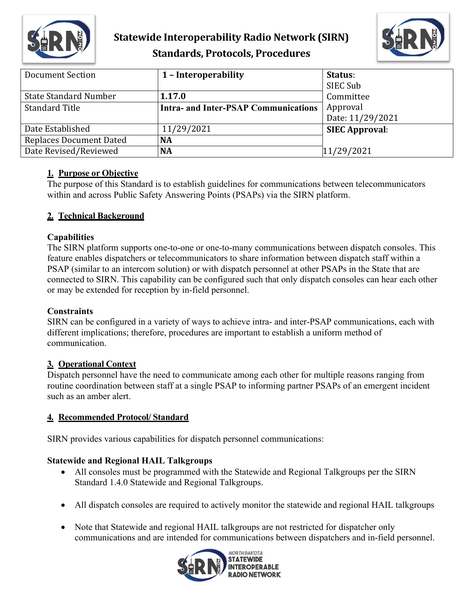

## **Statewide Interoperability Radio Network (SIRN) Standards, Protocols, Procedures**



| Document Section               | 1 - Interoperability                        | Status:               |
|--------------------------------|---------------------------------------------|-----------------------|
|                                |                                             | SIEC Sub              |
| <b>State Standard Number</b>   | 1.17.0                                      | Committee             |
| <b>Standard Title</b>          | <b>Intra- and Inter-PSAP Communications</b> | Approval              |
|                                |                                             | Date: 11/29/2021      |
| Date Established               | 11/29/2021                                  | <b>SIEC Approval:</b> |
| <b>Replaces Document Dated</b> | <b>NA</b>                                   |                       |
| Date Revised/Reviewed          | <b>NA</b>                                   | 11/29/2021            |

#### **1. Purpose or Objective**

The purpose of this Standard is to establish guidelines for communications between telecommunicators within and across Public Safety Answering Points (PSAPs) via the SIRN platform.

## **2. Technical Background**

#### **Capabilities**

The SIRN platform supports one-to-one or one-to-many communications between dispatch consoles. This feature enables dispatchers or telecommunicators to share information between dispatch staff within a PSAP (similar to an intercom solution) or with dispatch personnel at other PSAPs in the State that are connected to SIRN. This capability can be configured such that only dispatch consoles can hear each other or may be extended for reception by in-field personnel.

#### **Constraints**

SIRN can be configured in a variety of ways to achieve intra- and inter-PSAP communications, each with different implications; therefore, procedures are important to establish a uniform method of communication.

## **3. Operational Context**

Dispatch personnel have the need to communicate among each other for multiple reasons ranging from routine coordination between staff at a single PSAP to informing partner PSAPs of an emergent incident such as an amber alert.

## **4. Recommended Protocol/ Standard**

SIRN provides various capabilities for dispatch personnel communications:

## **Statewide and Regional HAIL Talkgroups**

- All consoles must be programmed with the Statewide and Regional Talkgroups per the SIRN Standard 1.4.0 Statewide and Regional Talkgroups.
- All dispatch consoles are required to actively monitor the statewide and regional HAIL talkgroups
- Note that Statewide and regional HAIL talkgroups are not restricted for dispatcher only communications and are intended for communications between dispatchers and in-field personnel.